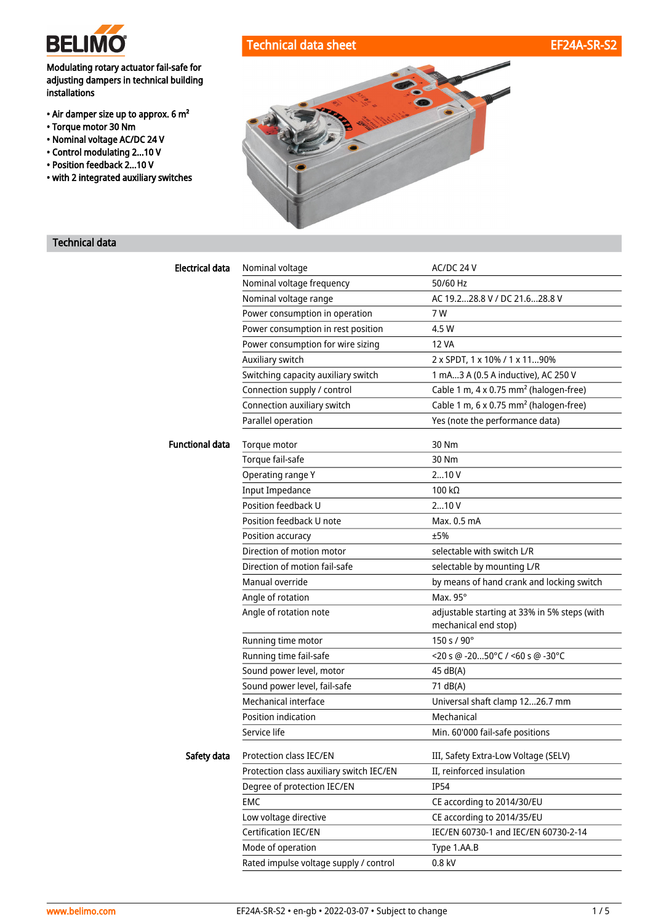

## Modulating rotary actuator fail-safe for adjusting dampers in technical building installations

- Air damper size up to approx. 6 m²
- Torque motor 30 Nm
- Nominal voltage AC/DC 24 V
- Control modulating 2...10 V
- Position feedback 2...10 V
- with 2 integrated auxiliary switches







# Technical data

| <b>Electrical data</b> | Nominal voltage                          | AC/DC 24 V                                                           |
|------------------------|------------------------------------------|----------------------------------------------------------------------|
|                        | Nominal voltage frequency                | 50/60 Hz                                                             |
|                        | Nominal voltage range                    | AC 19.228.8 V / DC 21.628.8 V                                        |
|                        | Power consumption in operation           | 7 W                                                                  |
|                        | Power consumption in rest position       | 4.5 W                                                                |
|                        | Power consumption for wire sizing        | <b>12 VA</b>                                                         |
|                        | Auxiliary switch                         | 2 x SPDT, 1 x 10% / 1 x 1190%                                        |
|                        | Switching capacity auxiliary switch      | 1 mA3 A (0.5 A inductive), AC 250 V                                  |
|                        | Connection supply / control              | Cable 1 m, 4 x 0.75 mm <sup>2</sup> (halogen-free)                   |
|                        | Connection auxiliary switch              | Cable 1 m, 6 x 0.75 mm <sup>2</sup> (halogen-free)                   |
|                        | Parallel operation                       | Yes (note the performance data)                                      |
| <b>Functional data</b> | Torque motor                             | 30 Nm                                                                |
|                        | Torque fail-safe                         | 30 Nm                                                                |
|                        | Operating range Y                        | 210V                                                                 |
|                        | <b>Input Impedance</b>                   | 100 kΩ                                                               |
|                        | Position feedback U                      | 210V                                                                 |
|                        | Position feedback U note                 | Max. 0.5 mA                                                          |
|                        | Position accuracy                        | ±5%                                                                  |
|                        | Direction of motion motor                | selectable with switch L/R                                           |
|                        | Direction of motion fail-safe            | selectable by mounting L/R                                           |
|                        | Manual override                          | by means of hand crank and locking switch                            |
|                        | Angle of rotation                        | Max. 95°                                                             |
|                        | Angle of rotation note                   | adjustable starting at 33% in 5% steps (with<br>mechanical end stop) |
|                        | Running time motor                       | $150 s / 90^{\circ}$                                                 |
|                        | Running time fail-safe                   | <20 s @ -2050°C / <60 s @ -30°C                                      |
|                        | Sound power level, motor                 | 45 dB(A)                                                             |
|                        | Sound power level, fail-safe             | 71 dB(A)                                                             |
|                        | Mechanical interface                     | Universal shaft clamp 1226.7 mm                                      |
|                        | Position indication                      | Mechanical                                                           |
|                        | Service life                             | Min. 60'000 fail-safe positions                                      |
| Safety data            | Protection class IEC/EN                  | III, Safety Extra-Low Voltage (SELV)                                 |
|                        | Protection class auxiliary switch IEC/EN | II, reinforced insulation                                            |
|                        | Degree of protection IEC/EN              | <b>IP54</b>                                                          |
|                        | EMC                                      | CE according to 2014/30/EU                                           |
|                        | Low voltage directive                    | CE according to 2014/35/EU                                           |
|                        | Certification IEC/EN                     | IEC/EN 60730-1 and IEC/EN 60730-2-14                                 |
|                        | Mode of operation                        | Type 1.AA.B                                                          |
|                        | Rated impulse voltage supply / control   | 0.8 kV                                                               |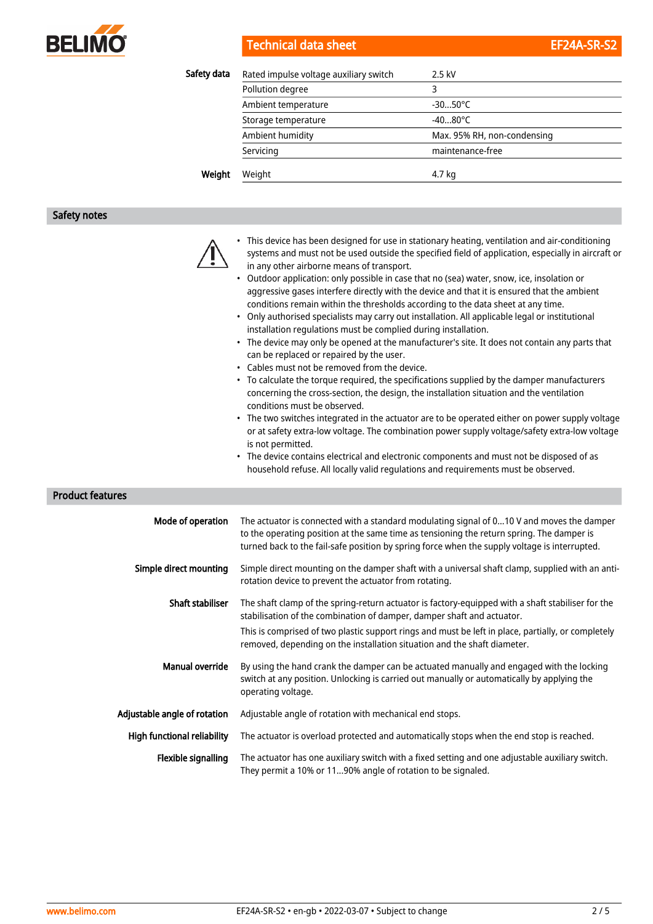

# Technical data sheet

| EF24A-SR-S2 |  |
|-------------|--|
|             |  |

| Safety data | Rated impulse voltage auxiliary switch | 2.5 kV                      |
|-------------|----------------------------------------|-----------------------------|
|             | Pollution degree                       | 3                           |
|             | Ambient temperature                    | $-3050^{\circ}$ C           |
|             | Storage temperature                    | $-4080^{\circ}$ C           |
|             | Ambient humidity                       | Max. 95% RH, non-condensing |
|             | Servicing                              | maintenance-free            |
| Weight      | Weight                                 | 4.7 kg                      |

# Safety notes

| <b>Product features</b>            | • This device has been designed for use in stationary heating, ventilation and air-conditioning<br>systems and must not be used outside the specified field of application, especially in aircraft or<br>in any other airborne means of transport.<br>Outdoor application: only possible in case that no (sea) water, snow, ice, insolation or<br>aggressive gases interfere directly with the device and that it is ensured that the ambient<br>conditions remain within the thresholds according to the data sheet at any time.<br>• Only authorised specialists may carry out installation. All applicable legal or institutional<br>installation regulations must be complied during installation.<br>• The device may only be opened at the manufacturer's site. It does not contain any parts that<br>can be replaced or repaired by the user.<br>• Cables must not be removed from the device.<br>• To calculate the torque required, the specifications supplied by the damper manufacturers<br>concerning the cross-section, the design, the installation situation and the ventilation<br>conditions must be observed.<br>• The two switches integrated in the actuator are to be operated either on power supply voltage<br>or at safety extra-low voltage. The combination power supply voltage/safety extra-low voltage<br>is not permitted.<br>The device contains electrical and electronic components and must not be disposed of as<br>household refuse. All locally valid regulations and requirements must be observed. |
|------------------------------------|--------------------------------------------------------------------------------------------------------------------------------------------------------------------------------------------------------------------------------------------------------------------------------------------------------------------------------------------------------------------------------------------------------------------------------------------------------------------------------------------------------------------------------------------------------------------------------------------------------------------------------------------------------------------------------------------------------------------------------------------------------------------------------------------------------------------------------------------------------------------------------------------------------------------------------------------------------------------------------------------------------------------------------------------------------------------------------------------------------------------------------------------------------------------------------------------------------------------------------------------------------------------------------------------------------------------------------------------------------------------------------------------------------------------------------------------------------------------------------------------------------------------------------------------|
| Mode of operation                  | The actuator is connected with a standard modulating signal of 010 V and moves the damper<br>to the operating position at the same time as tensioning the return spring. The damper is                                                                                                                                                                                                                                                                                                                                                                                                                                                                                                                                                                                                                                                                                                                                                                                                                                                                                                                                                                                                                                                                                                                                                                                                                                                                                                                                                     |
|                                    | turned back to the fail-safe position by spring force when the supply voltage is interrupted.                                                                                                                                                                                                                                                                                                                                                                                                                                                                                                                                                                                                                                                                                                                                                                                                                                                                                                                                                                                                                                                                                                                                                                                                                                                                                                                                                                                                                                              |
| Simple direct mounting             | Simple direct mounting on the damper shaft with a universal shaft clamp, supplied with an anti-<br>rotation device to prevent the actuator from rotating.                                                                                                                                                                                                                                                                                                                                                                                                                                                                                                                                                                                                                                                                                                                                                                                                                                                                                                                                                                                                                                                                                                                                                                                                                                                                                                                                                                                  |
| <b>Shaft stabiliser</b>            | The shaft clamp of the spring-return actuator is factory-equipped with a shaft stabiliser for the<br>stabilisation of the combination of damper, damper shaft and actuator.                                                                                                                                                                                                                                                                                                                                                                                                                                                                                                                                                                                                                                                                                                                                                                                                                                                                                                                                                                                                                                                                                                                                                                                                                                                                                                                                                                |
|                                    | This is comprised of two plastic support rings and must be left in place, partially, or completely<br>removed, depending on the installation situation and the shaft diameter.                                                                                                                                                                                                                                                                                                                                                                                                                                                                                                                                                                                                                                                                                                                                                                                                                                                                                                                                                                                                                                                                                                                                                                                                                                                                                                                                                             |
| <b>Manual override</b>             | By using the hand crank the damper can be actuated manually and engaged with the locking<br>switch at any position. Unlocking is carried out manually or automatically by applying the<br>operating voltage.                                                                                                                                                                                                                                                                                                                                                                                                                                                                                                                                                                                                                                                                                                                                                                                                                                                                                                                                                                                                                                                                                                                                                                                                                                                                                                                               |
| Adjustable angle of rotation       | Adjustable angle of rotation with mechanical end stops.                                                                                                                                                                                                                                                                                                                                                                                                                                                                                                                                                                                                                                                                                                                                                                                                                                                                                                                                                                                                                                                                                                                                                                                                                                                                                                                                                                                                                                                                                    |
| <b>High functional reliability</b> | The actuator is overload protected and automatically stops when the end stop is reached.                                                                                                                                                                                                                                                                                                                                                                                                                                                                                                                                                                                                                                                                                                                                                                                                                                                                                                                                                                                                                                                                                                                                                                                                                                                                                                                                                                                                                                                   |
| Flexible signalling                | The actuator has one auxiliary switch with a fixed setting and one adjustable auxiliary switch.<br>They permit a 10% or 1190% angle of rotation to be signaled.                                                                                                                                                                                                                                                                                                                                                                                                                                                                                                                                                                                                                                                                                                                                                                                                                                                                                                                                                                                                                                                                                                                                                                                                                                                                                                                                                                            |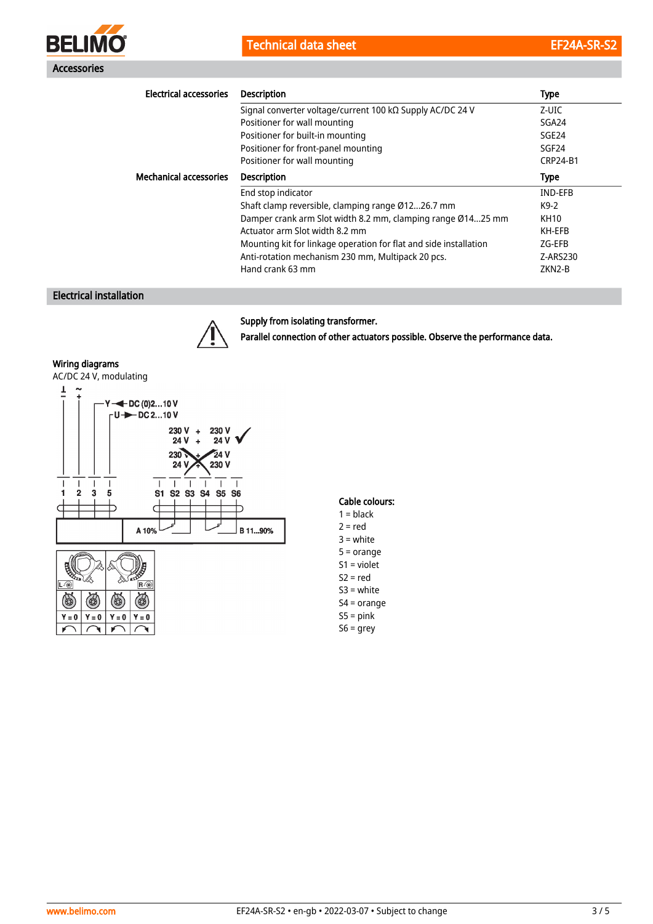Technical data sheet EF24A-SR-S2



| <b>Electrical accessories</b> | <b>Description</b>                                                | <b>Type</b>       |
|-------------------------------|-------------------------------------------------------------------|-------------------|
|                               | Signal converter voltage/current 100 kΩ Supply AC/DC 24 V         | Z-UIC             |
|                               | Positioner for wall mounting                                      | SGA24             |
|                               | Positioner for built-in mounting                                  | SGE <sub>24</sub> |
|                               | Positioner for front-panel mounting                               | SGF <sub>24</sub> |
|                               | Positioner for wall mounting                                      | <b>CRP24-B1</b>   |
| <b>Mechanical accessories</b> | <b>Description</b>                                                | <b>Type</b>       |
|                               | End stop indicator                                                | <b>IND-EFB</b>    |
|                               | Shaft clamp reversible, clamping range Ø1226.7 mm                 | K9-2              |
|                               | Damper crank arm Slot width 8.2 mm, clamping range Ø1425 mm       | <b>KH10</b>       |
|                               | Actuator arm Slot width 8.2 mm                                    | KH-EFB            |
|                               | Mounting kit for linkage operation for flat and side installation | ZG-EFB            |
|                               | Anti-rotation mechanism 230 mm, Multipack 20 pcs.                 | Z-ARS230          |
|                               | Hand crank 63 mm                                                  | ZKN2-B            |

# Electrical installation



#### Supply from isolating transformer.

Parallel connection of other actuators possible. Observe the performance data.

#### Wiring diagrams



## Cable colours:

- $1 = **black**$  $2 = red$ 3 = white 5 = orange S1 = violet  $S2 = red$ S3 = white
- S4 = orange
- $S5 = pink$
- S6 = grey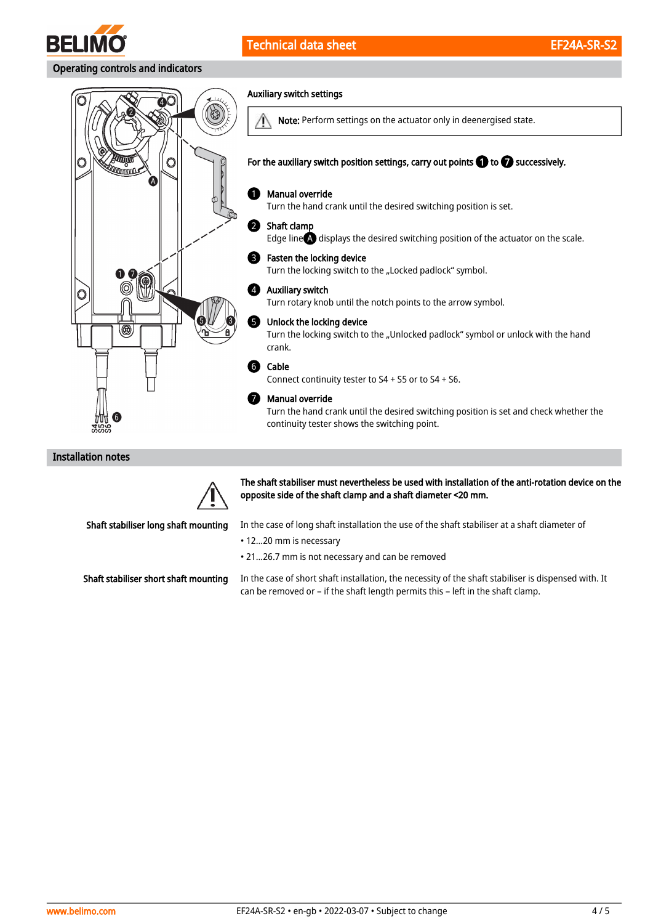

### Operating controls and indicators



### Installation notes



The shaft stabiliser must nevertheless be used with installation of the anti-rotation device on the opposite side of the shaft clamp and a shaft diameter <20 mm.

Shaft stabiliser long shaft mounting

In the case of long shaft installation the use of the shaft stabiliser at a shaft diameter of

- 12...20 mm is necessary
- 21...26.7 mm is not necessary and can be removed

Shaft stabiliser short shaft mounting

In the case of short shaft installation, the necessity of the shaft stabiliser is dispensed with. It can be removed or – if the shaft length permits this – left in the shaft clamp.